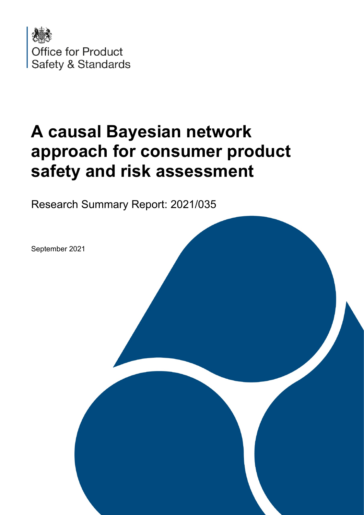

# **A causal Bayesian network approach for consumer product safety and risk assessment**

Research Summary Report: 2021/035

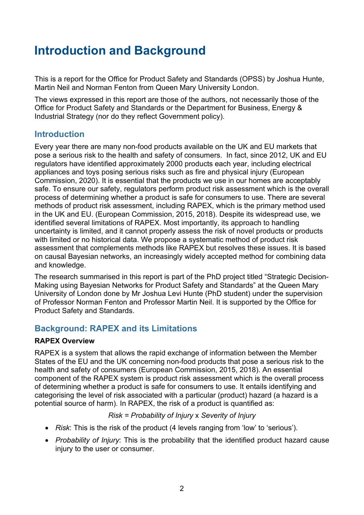# **Introduction and Background**

 This is a report for the Office for Product Safety and Standards (OPSS) by Joshua Hunte, Martin Neil and Norman Fenton from Queen Mary University London.

The views expressed in this report are those of the authors, not necessarily those of the Office for Product Safety and Standards or the Department for Business, Energy & Industrial Strategy (nor do they reflect Government policy).

### **Introduction**

 Every year there are many non-food products available on the UK and EU markets that safe. To ensure our safety, regulators perform product risk assessment which is the overall in the UK and EU. (European Commission, 2015, 2018). Despite its widespread use, we identified several limitations of RAPEX. Most importantly, its approach to handling uncertainty is limited, and it cannot properly assess the risk of novel products or products assessment that complements methods like RAPEX but resolves these issues. It is based pose a serious risk to the health and safety of consumers. In fact, since 2012, UK and EU regulators have identified approximately 2000 products each year, including electrical appliances and toys posing serious risks such as fire and physical injury (European Commission, 2020). It is essential that the products we use in our homes are acceptably process of determining whether a product is safe for consumers to use. There are several methods of product risk assessment, including RAPEX, which is the primary method used with limited or no historical data. We propose a systematic method of product risk on causal Bayesian networks, an increasingly widely accepted method for combining data and knowledge.

 The research summarised in this report is part of the PhD project titled "Strategic Decision-Making using Bayesian Networks for Product Safety and Standards" at the Queen Mary University of London done by Mr Joshua Levi Hunte (PhD student) under the supervision of Professor Norman Fenton and Professor Martin Neil. It is supported by the Office for Product Safety and Standards.

### **Background: RAPEX and its Limitations**

#### **RAPEX Overview**

 RAPEX is a system that allows the rapid exchange of information between the Member States of the EU and the UK concerning non-food products that pose a serious risk to the health and safety of consumers (European Commission, 2015, 2018). An essential component of the RAPEX system is product risk assessment which is the overall process categorising the level of risk associated with a particular (product) hazard (a hazard is a of determining whether a product is safe for consumers to use. It entails identifying and potential source of harm). In RAPEX, the risk of a product is quantified as:

#### *Risk = Probability of Injury* x *Severity of Injury*

- *Risk*: This is the risk of the product (4 levels ranging from 'low' to 'serious').
- • *Probability of Injury*: This is the probability that the identified product hazard cause injury to the user or consumer.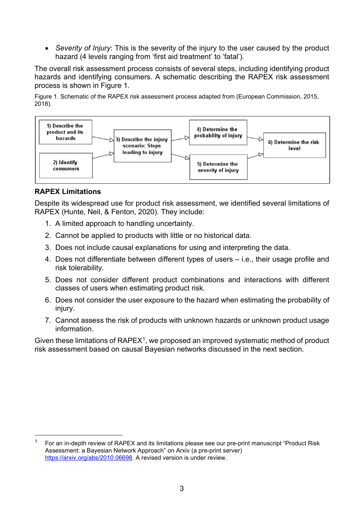hazard (4 levels ranging from 'first aid treatment' to 'fatal'). • *Severity of Injury*: This is the severity of the injury to the user caused by the product

 The overall risk assessment process consists of several steps, including identifying product process is shown in Figure 1. hazards and identifying consumers. A schematic describing the RAPEX risk assessment

Figure 1. Schematic of the RAPEX risk assessment process adapted from (European Commission, 2015, 2018).



#### **RAPEX Limitations**

Despite its widespread use for product risk assessment, we identified several limitations of RAPEX (Hunte, Neil, & Fenton, 2020). They include:

- 1. A limited approach to handling uncertainty.
- 2. Cannot be applied to products with little or no historical data.
- 3. Does not include causal explanations for using and interpreting the data.
- 4. Does not differentiate between different types of users i.e., their usage profile and risk tolerability.
- 5. Does not consider different product combinations and interactions with different classes of users when estimating product risk.
- 6. Does not consider the user exposure to the hazard when estimating the probability of injury.
- 7. Cannot assess the risk of products with unknown hazards or unknown product usage information.

Given these limitations of  $RAPEX<sup>1</sup>$ , we proposed an improved systematic method of product risk assessment based on causal Bayesian networks discussed in the next section.

<span id="page-2-0"></span> 1 Assessment: a Bayesian Network Approach" on Arxiv (a pre-print server) [https://arxiv.org/abs/2010.06698.](https://arxiv.org/abs/2010.06698) A revised version is under review. For an in-depth review of RAPEX and its limitations please see our pre-print manuscript "Product Risk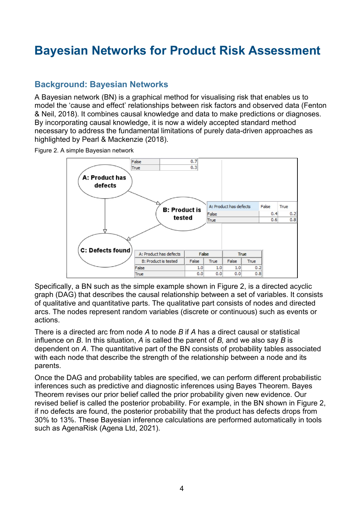# **Bayesian Networks for Product Risk Assessment**

### **Background: Bayesian Networks**

 A Bayesian network (BN) is a graphical method for visualising risk that enables us to & Neil, 2018). It combines causal knowledge and data to make predictions or diagnoses. highlighted by Pearl & Mackenzie (2018). model the 'cause and effect' relationships between risk factors and observed data (Fenton By incorporating causal knowledge, it is now a widely accepted standard method necessary to address the fundamental limitations of purely data-driven approaches as

Figure 2. A simple Bayesian network



 Specifically, a BN such as the simple example shown in Figure 2, is a directed acyclic of qualitative and quantitative parts. The qualitative part consists of nodes and directed arcs. The nodes represent random variables (discrete or continuous) such as events or graph (DAG) that describes the causal relationship between a set of variables. It consists actions.

 There is a directed arc from node *A* to node *B* if *A* has a direct causal or statistical influence on *B*. In this situation, *A* is called the parent of *B,* and we also say *B* is dependent on *A*. The quantitative part of the BN consists of probability tables associated with each node that describe the strength of the relationship between a node and its parents.

 Theorem revises our prior belief called the prior probability given new evidence. Our if no defects are found, the posterior probability that the product has defects drops from Once the DAG and probability tables are specified, we can perform different probabilistic inferences such as predictive and diagnostic inferences using Bayes Theorem. Bayes revised belief is called the posterior probability. For example, in the BN shown in Figure 2, 30% to 13%. These Bayesian inference calculations are performed automatically in tools such as AgenaRisk (Agena Ltd, 2021).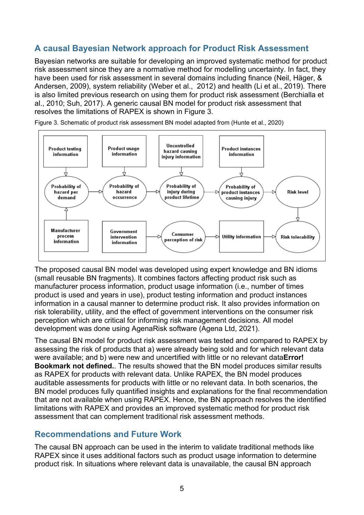### **A causal Bayesian Network approach for Product Risk Assessment**

 Andersen, 2009), system reliability (Weber et al., 2012) and health (Li et al., 2019). There resolves the limitations of RAPEX is shown in Figure 3. Bayesian networks are suitable for developing an improved systematic method for product risk assessment since they are a normative method for modelling uncertainty. In fact, they have been used for risk assessment in several domains including finance (Neil, Häger, & is also limited previous research on using them for product risk assessment (Berchialla et al., 2010; Suh, 2017). A generic causal BN model for product risk assessment that



resolves the limitations of RAPEX is shown in Figure 3.<br>Figure 3. Schematic of product risk assessment BN model adapted from (Hunte et al., 2020)

 The proposed causal BN model was developed using expert knowledge and BN idioms risk tolerability, utility, and the effect of government interventions on the consumer risk development was done using AgenaRisk software (Agena Ltd, 2021). (small reusable BN fragments). It combines factors affecting product risk such as manufacturer process information, product usage information (i.e., number of times product is used and years in use), product testing information and product instances information in a causal manner to determine product risk. It also provides information on perception which are critical for informing risk management decisions. All model

 The causal BN model for product risk assessment was tested and compared to RAPEX by **Bookmark not defined.**. The results showed that the BN model produces similar results as RAPEX for products with relevant data. Unlike RAPEX, the BN model produces auditable assessments for products with little or no relevant data. In both scenarios, the that are not available when using RAPEX. Hence, the BN approach resolves the identified limitations with RAPEX and provides an improved systematic method for product risk assessment that can complement traditional risk assessment methods. assessing the risk of products that a) were already being sold and for which relevant data were available; and b) were new and uncertified with little or no relevant data**Error!**  BN model produces fully quantified insights and explanations for the final recommendation

#### **Recommendations and Future Work**

 RAPEX since it uses additional factors such as product usage information to determine The causal BN approach can be used in the interim to validate traditional methods like product risk. In situations where relevant data is unavailable, the causal BN approach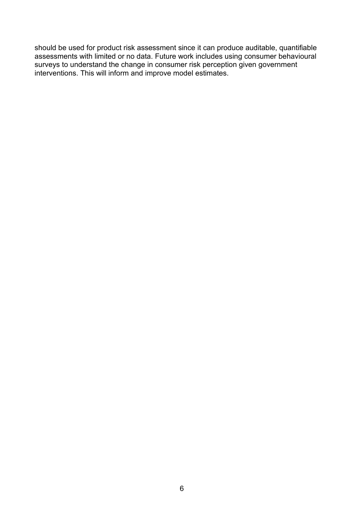should be used for product risk assessment since it can produce auditable, quantifiable assessments with limited or no data. Future work includes using consumer behavioural surveys to understand the change in consumer risk perception given government interventions. This will inform and improve model estimates.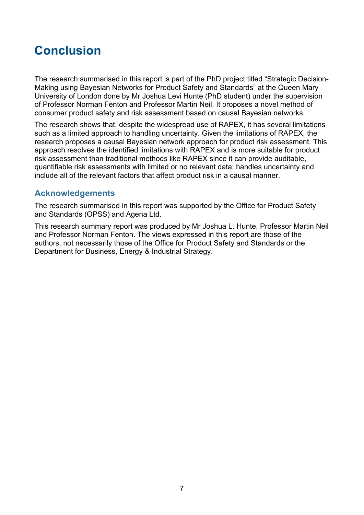# **Conclusion**

 of Professor Norman Fenton and Professor Martin Neil. It proposes a novel method of consumer product safety and risk assessment based on causal Bayesian networks. The research summarised in this report is part of the PhD project titled "Strategic Decision-Making using Bayesian Networks for Product Safety and Standards" at the Queen Mary University of London done by Mr Joshua Levi Hunte (PhD student) under the supervision

 The research shows that, despite the widespread use of RAPEX, it has several limitations quantifiable risk assessments with limited or no relevant data; handles uncertainty and include all of the relevant factors that affect product risk in a causal manner. such as a limited approach to handling uncertainty. Given the limitations of RAPEX, the research proposes a causal Bayesian network approach for product risk assessment. This approach resolves the identified limitations with RAPEX and is more suitable for product risk assessment than traditional methods like RAPEX since it can provide auditable,

#### **Acknowledgements**

 The research summarised in this report was supported by the Office for Product Safety and Standards (OPSS) and Agena Ltd.

 This research summary report was produced by Mr Joshua L. Hunte, Professor Martin Neil authors, not necessarily those of the Office for Product Safety and Standards or the and Professor Norman Fenton. The views expressed in this report are those of the Department for Business, Energy & Industrial Strategy.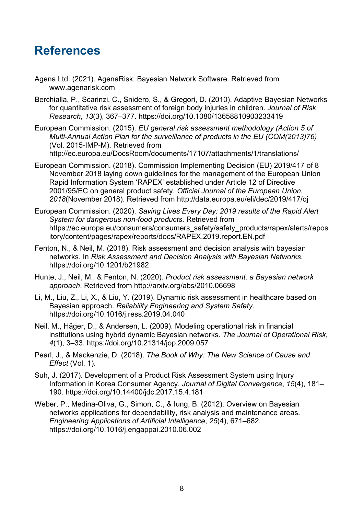## **References**

- Agena Ltd. (2021). AgenaRisk: Bayesian Network Software. Retrieved from <www.agenarisk.com>
- Berchialla, P., Scarinzi, C., Snidero, S., & Gregori, D. (2010). Adaptive Bayesian Networks  for quantitative risk assessment of foreign body injuries in children. *Journal of Risk Research*, *13*(3), 367–377. <https://doi.org/10.1080/13658810903233419>
- European Commission. (2015). *EU general risk assessment methodology (Action 5 of Multi-Annual Action Plan for the surveillance of products in the EU (COM(2013)76)*  (Vol. 2015-IMP-M). Retrieved from [http://ec.europa.eu/DocsRoom/documents/17107/attachments/1/translations/](http://ec.europa.eu/DocsRoom/documents/17107/attachments/1/translations)
- European Commission. (2018). Commission Implementing Decision (EU) 2019/417 of 8 November 2018 laying down guidelines for the management of the European Union Rapid Information System 'RAPEX' established under Article 12 of Directive 2001/95/EC on general product safety. *Official Journal of the European Union*, *2018*(November 2018). Retrieved from <http://data.europa.eu/eli/dec/2019/417/oj>
- European Commission. (2020). *Saving Lives Every Day: 2019 results of the Rapid Alert System for dangerous non-food products*. Retrieved from [https://ec.europa.eu/consumers/consumers\\_safety/safety\\_products/rapex/alerts/repos](https://ec.europa.eu/consumers/consumers_safety/safety_products/rapex/alerts/repos) itory/content/pages/rapex/reports/docs/RAPEX.2019.report.EN.pdf
- Fenton, N., & Neil, M. (2018). Risk assessment and decision analysis with bayesian networks. In *Risk Assessment and Decision Analysis with Bayesian Networks*. <https://doi.org/10.1201/b21982>
- Hunte, J., Neil, M., & Fenton, N. (2020). *Product risk assessment: a Bayesian network approach*. Retrieved from<http://arxiv.org/abs/2010.06698>
- Li, M., Liu, Z., Li, X., & Liu, Y. (2019). Dynamic risk assessment in healthcare based on Bayesian approach. *Reliability Engineering and System Safety*. <https://doi.org/10.1016/j.ress.2019.04.040>
- Neil, M., Häger, D., & Andersen, L. (2009). Modeling operational risk in financial institutions using hybrid dynamic Bayesian networks. *The Journal of Operational Risk*, *4*(1), 3–33.<https://doi.org/10.21314/jop.2009.057>
- *Effect* (Vol. 1). Pearl, J., & Mackenzie, D. (2018). *The Book of Why: The New Science of Cause and*
- Suh, J. (2017). Development of a Product Risk Assessment System using Injury Information in Korea Consumer Agency. *Journal of Digital Convergence*, *15*(4), 181– 190.<https://doi.org/10.14400/jdc.2017.15.4.181>
- *Engineering Applications of Artificial Intelligence*, *25*(4), 671–682. Weber, P., Medina-Oliva, G., Simon, C., & Iung, B. (2012). Overview on Bayesian networks applications for dependability, risk analysis and maintenance areas. <https://doi.org/10.1016/j.engappai.2010.06.002>